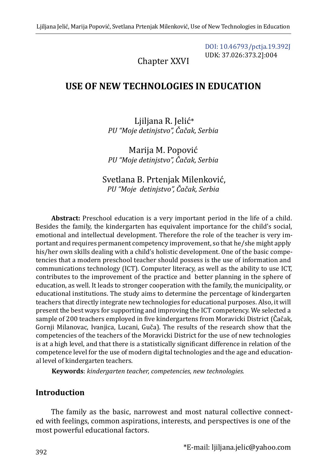[DOI: 10.46793/pctja.19.392J](https://doi.org/10.46793/pctja.19.392J) UDK: 37.026:373.2]:004

Chapter XXVI

# **USE OF NEW TECHNOLOGIES IN EDUCATION**

Ljiljana R. Jelić\* *PU "Moje detinjstvo", Čačak, Serbia*

Marija M. Popović *PU "Moje detinjstvo", Čačak, Serbia*

Svetlana B. Prtenjak Milenković, *PU "Moje detinjstvo", Čačak, Serbia*

**Abstract:** Preschool education is a very important period in the life of a child. Besides the family, the kindergarten has equivalent importance for the child's social, emotional and intellectual development. Therefore the role of the teacher is very important and requires permanent competency improvement, so that he/she might apply his/her own skills dealing with a child's holistic development. One of the basic competencies that a modern preschool teacher should possess is the use of information and communications technology (ICT). Computer literacy, as well as the ability to use ICT, contributes to the improvement of the practice and better planning in the sphere of education, as well. It leads to stronger cooperation with the family, the municipality, or educational institutions. The study aims to determine the percentage of kindergarten teachers that directly integrate new technologies for educational purposes. Also, it will present the best ways for supporting and improving the ICT competency. We selected a sample of 200 teachers employed in five kindergartens from Moravicki District (Čačak, Gornji Milanovac, Ivanjica, Lucani, Guča). The results of the research show that the competencies of the teachers of the Moravicki District for the use of new technologies is at a high level, and that there is a statistically significant difference in relation of the competence level for the use of modern digital technologies and the age and educational level of kindergarten teachers.

**Keywords**: *kindergarten teacher, competencies, new technologies.*

## **Introduction**

The family as the basic, narrowest and most natural collective connected with feelings, common aspirations, interests, and perspectives is one of the most powerful educational factors.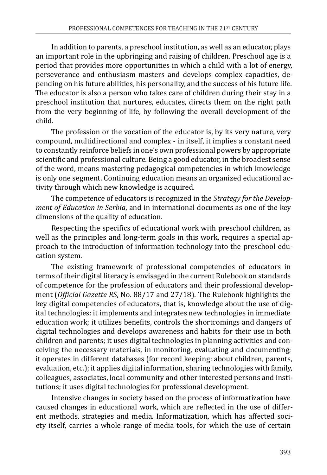In addition to parents, a preschool institution, as well as an educator, plays an important role in the upbringing and raising of children. Preschool age is a period that provides more opportunities in which a child with a lot of energy, perseverance and enthusiasm masters and develops complex capacities, depending on his future abilities, his personality, and the success of his future life. The educator is also a person who takes care of children during their stay in a preschool institution that nurtures, educates, directs them on the right path from the very beginning of life, by following the overall development of the child.

The profession or the vocation of the educator is, by its very nature, very compound, multidirectional and complex - in itself, it implies a constant need to constantly reinforce beliefs in one's own professional powers by appropriate scientific and professional culture. Being a good educator, in the broadest sense of the word, means mastering pedagogical competencies in which knowledge is only one segment. Continuing education means an organized educational activity through which new knowledge is acquired.

The competence of educators is recognized in the *Strategy for the Development of Education in Serbia*, and in international documents as one of the key dimensions of the quality of education.

Respecting the specifics of educational work with preschool children, as well as the principles and long-term goals in this work, requires a special approach to the introduction of information technology into the preschool education system.

The existing framework of professional competencies of educators in terms of their digital literacy is envisaged in the current Rulebook on standards of competence for the profession of educators and their professional development (*Official Gazette RS*, No. 88/17 and 27/18). The Rulebook highlights the key digital competencies of educators, that is, knowledge about the use of digital technologies: it implements and integrates new technologies in immediate education work; it utilizes benefits, controls the shortcomings and dangers of digital technologies and develops awareness and habits for their use in both children and parents; it uses digital technologies in planning activities and conceiving the necessary materials, in monitoring, evaluating and documenting; it operates in different databases (for record keeping: about children, parents, evaluation, etc.); it applies digital information, sharing technologies with family, colleagues, associates, local community and other interested persons and institutions; it uses digital technologies for professional development.

Intensive changes in society based on the process of informatization have caused changes in educational work, which are reflected in the use of different methods, strategies and media. Informatization, which has affected society itself, carries a whole range of media tools, for which the use of certain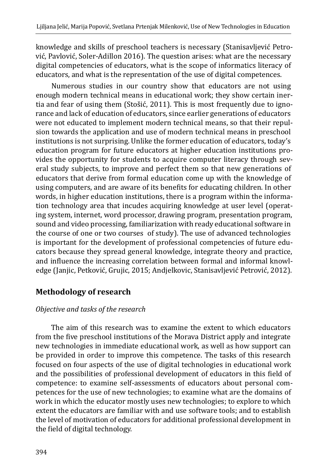knowledge and skills of preschool teachers is necessary (Stanisavljević Petrović, Pavlović, Soler-Adillon 2016). The question arises: what are the necessary digital competencies of educators, what is the scope of informatics literacy of educators, and what is the representation of the use of digital competences.

Numerous studies in our country show that educators are not using enough modern technical means in educational work; they show certain inertia and fear of using them (Stošić, 2011). This is most frequently due to ignorance and lack of education of educators, since earlier generations of educators were not educated to implement modern technical means, so that their repulsion towards the application and use of modern technical means in preschool institutions is not surprising. Unlike the former education of educators, today's education program for future educators at higher education institutions provides the opportunity for students to acquire computer literacy through several study subjects, to improve and perfect them so that new generations of educators that derive from formal education come up with the knowledge of using computers, and are aware of its benefits for educating children. In other words, in higher education institutions, there is a program within the information technology area that incudes acquiring knowledge at user level (operating system, internet, word processor, drawing program, presentation program, sound and video processing, familiarization with ready educational software in the course of one or two courses of study). The use of advanced technologies is important for the development of professional competencies of future educators because they spread general knowledge, integrate theory and practice, and influence the increasing correlation between formal and informal knowledge (Janjic, Petković, Grujic, 2015; Andjelkovic, Stanisavljević Petrović, 2012).

## **Methodology of research**

### *Objective and tasks of the research*

The aim of this research was to examine the extent to which educators from the five preschool institutions of the Morava District apply and integrate new technologies in immediate educational work, as well as how support can be provided in order to improve this competence. The tasks of this research focused on four aspects of the use of digital technologies in educational work and the possibilities of professional development of educators in this field of competence: to examine self-assessments of educators about personal competences for the use of new technologies; to examine what are the domains of work in which the educator mostly uses new technologies; to explore to which extent the educators are familiar with and use software tools; and to establish the level of motivation of educators for additional professional development in the field of digital technology.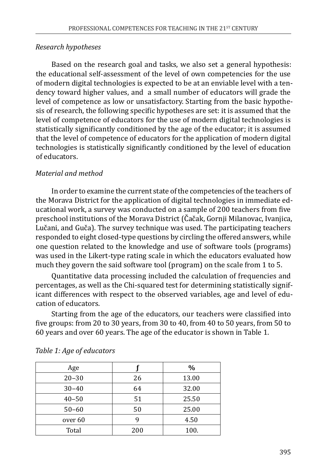### *Research hypotheses*

Based on the research goal and tasks, we also set a general hypothesis: the educational self-assessment of the level of own competencies for the use of modern digital technologies is expected to be at an enviable level with a tendency toward higher values, and a small number of educators will grade the level of competence as low or unsatisfactory. Starting from the basic hypothesis of research, the following specific hypotheses are set: it is assumed that the level of competence of educators for the use of modern digital technologies is statistically significantly conditioned by the age of the educator; it is assumed that the level of competence of educators for the application of modern digital technologies is statistically significantly conditioned by the level of education of educators.

### *Material and method*

In order to examine the current state of the competencies of the teachers of the Morava District for the application of digital technologies in immediate educational work, a survey was conducted on a sample of 200 teachers from five preschool institutions of the Morava District (Čačak, Gornji Milanovac, Ivanjica, Lučani, and Guča). The survey technique was used. The participating teachers responded to eight closed-type questions by circling the offered answers, while one question related to the knowledge and use of software tools (programs) was used in the Likert-type rating scale in which the educators evaluated how much they govern the said software tool (program) on the scale from 1 to 5.

Quantitative data processing included the calculation of frequencies and percentages, as well as the Chi-squared test for determining statistically significant differences with respect to the observed variables, age and level of education of educators.

Starting from the age of the educators, our teachers were classified into five groups: from 20 to 30 years, from 30 to 40, from 40 to 50 years, from 50 to 60 years and over 60 years. The age of the educator is shown in Table 1.

| Age       |     | $\frac{0}{0}$ |
|-----------|-----|---------------|
| $20 - 30$ | 26  | 13.00         |
| $30 - 40$ | 64  | 32.00         |
| $40 - 50$ | 51  | 25.50         |
| $50 - 60$ | 50  | 25.00         |
| over 60   |     | 4.50          |
| Total     | 200 | 100.          |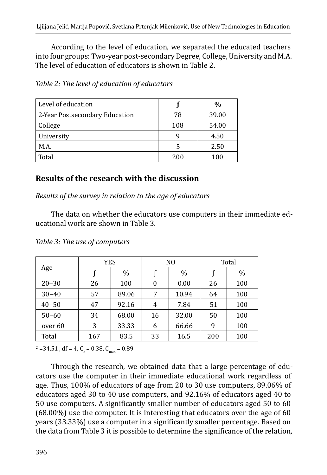According to the level of education, we separated the educated teachers into four groups: Two-year post-secondary Degree, College, University and M.A. The level of education of educators is shown in Table 2.

| Level of education             |     | $\frac{0}{0}$ |
|--------------------------------|-----|---------------|
| 2-Year Postsecondary Education | 78  | 39.00         |
| College                        | 108 | 54.00         |
| University                     | q   | 4.50          |
| M.A.                           | 5   | 2.50          |
| Total                          | 200 | 100           |

*Table 2: The level of education of educators* 

## **Results of the research with the discussion**

*Results of the survey in relation to the age of educators*

The data on whether the educators use computers in their immediate educational work are shown in Table 3.

|           | YES |       |    | N <sub>O</sub> | Total |      |  |
|-----------|-----|-------|----|----------------|-------|------|--|
| Age       |     | %     |    | $\%$           |       | $\%$ |  |
| $20 - 30$ | 26  | 100   | 0  | 0.00           | 26    | 100  |  |
| $30 - 40$ | 57  | 89.06 | 7  | 10.94          | 64    | 100  |  |
| $40 - 50$ | 47  | 92.16 | 4  | 7.84           | 51    | 100  |  |
| $50 - 60$ | 34  | 68.00 | 16 | 32.00          | 50    | 100  |  |
| over 60   | 3   | 33.33 | 6  | 66.66          | 9     | 100  |  |
| Total     | 167 | 83.5  | 33 | 16.5           | 200   | 100  |  |

*Table 3: The use of computers*

 $\mu^2$  =34.51, df = 4, C<sub>k</sub> = 0.38, C<sub>max</sub> = 0.89

Through the research, we obtained data that a large percentage of educators use the computer in their immediate educational work regardless of age. Thus, 100% of educators of age from 20 to 30 use computers, 89.06% of educators aged 30 to 40 use computers, and 92.16% of educators aged 40 to 50 use computers. A significantly smaller number of educators aged 50 to 60 (68.00%) use the computer. It is interesting that educators over the age of 60 years (33.33%) use a computer in a significantly smaller percentage. Based on the data from Table 3 it is possible to determine the significance of the relation,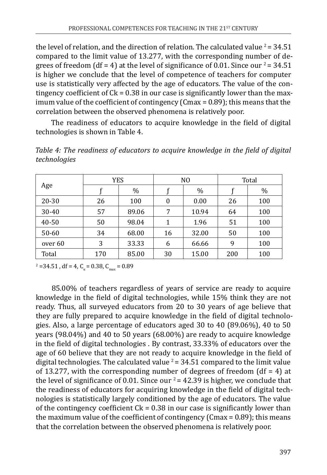the level of relation, and the direction of relation. The calculated value  $2 = 34.51$ compared to the limit value of 13.277, with the corresponding number of degrees of freedom (df = 4) at the level of significance of 0.01. Since our  $2 = 34.51$ is higher we conclude that the level of competence of teachers for computer use is statistically very affected by the age of educators. The value of the contingency coefficient of  $Ck = 0.38$  in our case is significantly lower than the maximum value of the coefficient of contingency (Cmax = 0.89); this means that the correlation between the observed phenomena is relatively poor.

The readiness of educators to acquire knowledge in the field of digital technologies is shown in Table 4.

|           | <b>YES</b> |       |    | N <sub>0</sub> |     | Total |
|-----------|------------|-------|----|----------------|-----|-------|
| Age       |            | $\%$  |    | $\%$           |     | %     |
| $20 - 30$ | 26         | 100   | 0  | 0.00           | 26  | 100   |
| $30 - 40$ | 57         | 89.06 | 7  | 10.94          | 64  | 100   |
| 40-50     | 50         | 98.04 | 1  | 1.96           | 51  | 100   |
| 50-60     | 34         | 68.00 | 16 | 32.00          | 50  | 100   |
| over 60   | 3          | 33.33 | 6  | 66.66          | 9   | 100   |
| Total     | 170        | 85.00 | 30 | 15.00          | 200 | 100   |

*Table 4: The readiness of educators to acquire knowledge in the field of digital technologies*

 $C_{\text{max}}$  = 34.51, df = 4, C<sub>k</sub> = 0.38, C<sub>max</sub> = 0.89

85.00% of teachers regardless of years of service are ready to acquire knowledge in the field of digital technologies, while 15% think they are not ready. Thus, all surveyed educators from 20 to 30 years of age believe that they are fully prepared to acquire knowledge in the field of digital technologies. Also, a large percentage of educators aged 30 to 40 (89.06%), 40 to 50 years (98.04%) and 40 to 50 years (68.00%) are ready to acquire knowledge in the field of digital technologies . By contrast, 33.33% of educators over the age of 60 believe that they are not ready to acquire knowledge in the field of digital technologies. The calculated value  $2 = 34.51$  compared to the limit value of 13.277, with the corresponding number of degrees of freedom  $(df = 4)$  at the level of significance of 0.01. Since our  $2 = 42.39$  is higher, we conclude that the readiness of educators for acquiring knowledge in the field of digital technologies is statistically largely conditioned by the age of educators. The value of the contingency coefficient  $Ck = 0.38$  in our case is significantly lower than the maximum value of the coefficient of contingency (Cmax = 0.89); this means that the correlation between the observed phenomena is relatively poor.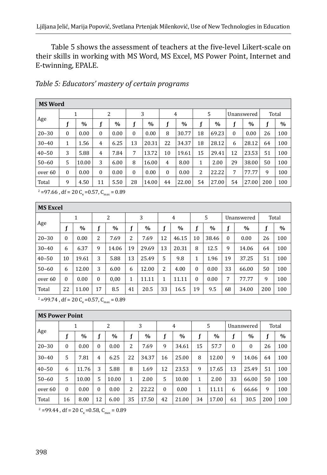Table 5 shows the assessment of teachers at the five-level Likert-scale on their skills in working with MS Word, MS Excel, MS Power Point, Internet and E-twinning, EPALE.

|           | <b>MS Word</b> |       |              |      |              |       |                |       |    |       |              |               |       |      |
|-----------|----------------|-------|--------------|------|--------------|-------|----------------|-------|----|-------|--------------|---------------|-------|------|
|           | 1              |       | 2            |      | 3            |       | 4              |       | 5  |       | Unanswered   |               | Total |      |
| Age       |                | $\%$  |              | $\%$ |              | $\%$  | f              | $\%$  |    | $\%$  |              | $\frac{0}{0}$ |       | $\%$ |
| $20 - 30$ | $\Omega$       | 0.00  | $\Omega$     | 0.00 | $\mathbf{0}$ | 0.00  | 8              | 30.77 | 18 | 69.23 | $\mathbf{0}$ | 0.00          | 26    | 100  |
| $30 - 40$ | 1              | 1.56  | 4            | 6.25 | 13           | 20.31 | 22             | 34.37 | 18 | 28.12 | 6            | 28.12         | 64    | 100  |
| $40 - 50$ | 3              | 5.88  | 4            | 7.84 | 7            | 13.72 | 10             | 19.61 | 15 | 29.41 | 12           | 23.53         | 51    | 100  |
| $50 - 60$ | 5              | 10.00 | 3            | 6.00 | 8            | 16.00 | $\overline{4}$ | 8.00  | 1  | 2.00  | 29           | 38.00         | 50    | 100  |
| over 60   | $\Omega$       | 0.00  | $\mathbf{0}$ | 0.00 | $\mathbf{0}$ | 0.00  | $\mathbf{0}$   | 0.00  | 2  | 22.22 | 7            | 77.77         | 9     | 100  |
| Total     | 9              | 4.50  | 11           | 5.50 | 28           | 14.00 | 44             | 22.00 | 54 | 27.00 | 54           | 27.00         | 200   | 100  |

 $\textdegree$  =97.66, df = 20  $\text{C}_{\text{\tiny{k}}}$  =0.57,  $\text{C}_{\text{\tiny{max}}}$  = 0.89

|           | <b>MS Excel</b> |       |              |       |    |               |    |       |          |       |                  |       |     |               |
|-----------|-----------------|-------|--------------|-------|----|---------------|----|-------|----------|-------|------------------|-------|-----|---------------|
|           |                 | 1     |              | 2     |    | 3             |    | 4     |          | 5     | Unanswered       |       |     | Total         |
| Age       | c               | $\%$  | f            | $\%$  | f  | $\frac{0}{0}$ | f  | $\%$  | f        | $\%$  | f                | $\%$  | f   | $\frac{0}{0}$ |
| $20 - 30$ | $\Omega$        | 0.00  | 2            | 7.69  | 2  | 7.69          | 12 | 46.15 | 10       | 38.46 | $\boldsymbol{0}$ | 0.00  | 26  | 100           |
| $30 - 40$ | 6               | 6.37  | 9            | 14.06 | 19 | 29.69         | 13 | 20.31 | 8        | 12.5  | 9                | 14.06 | 64  | 100           |
| $40 - 50$ | 10              | 19.61 | 3            | 5.88  | 13 | 25.49         | 5  | 9.8   | 1        | 1.96  | 19               | 37.25 | 51  | 100           |
| $50 - 60$ | 6               | 12.00 | 3            | 6.00  | 6  | 12.00         | 2  | 4.00  | $\Omega$ | 0.00  | 33               | 66.00 | 50  | 100           |
| over 60   | $\Omega$        | 0.00  | $\mathbf{0}$ | 0,00  | 1  | 11.11         | 1  | 11.11 | 0        | 0.00  | 7                | 77.77 | 9   | 100           |
| Total     | 22              | 11.00 | 17           | 8.5   | 41 | 20.5          | 33 | 16.5  | 19       | 9.5   | 68               | 34.00 | 200 | 100           |

 $^{2}$  =99.74, df = 20 C<sub>k</sub>=0.57, C<sub>max</sub> = 0.89

|           | <b>MS Power Point</b> |               |                |       |    |               |              |       |    |               |          |            |     |       |
|-----------|-----------------------|---------------|----------------|-------|----|---------------|--------------|-------|----|---------------|----------|------------|-----|-------|
|           |                       | 1             |                | 2     |    | 3             |              | 4     |    | 5             |          | Unanswered |     | Total |
| Age       |                       | $\frac{0}{0}$ | f              | $\%$  |    | $\frac{0}{0}$ |              | $\%$  | f  | $\frac{0}{0}$ | f        | $\%$       | f   | $\%$  |
| $20 - 30$ | 0                     | 0.00          | $\mathbf{0}$   | 0.00  | 2  | 7.69          | 9            | 34.61 | 15 | 57.7          | $\theta$ | $\Omega$   | 26  | 100   |
| $30 - 40$ | 5                     | 7.81          | $\overline{4}$ | 6.25  | 22 | 34.37         | 16           | 25.00 | 8  | 12.00         | 9        | 14.06      | 64  | 100   |
| $40 - 50$ | 6                     | 11.76         | 3              | 5.88  | 8  | 1.69          | 12           | 23.53 | 9  | 17.65         | 13       | 25.49      | 51  | 100   |
| $50 - 60$ | 5                     | 10.00         | 5              | 10.00 | 1  | 2.00          | 5            | 10.00 | 1  | 2.00          | 33       | 66.00      | 50  | 100   |
| over 60   | $\mathbf{0}$          | 0.00          | $\mathbf{0}$   | 0.00  | 2  | 22.22         | $\mathbf{0}$ | 0.00  | 1  | 11.11         | 6        | 66.66      | 9   | 100   |
| Total     | 16                    | 8.00          | 12             | 6.00  | 35 | 17.50         | 42           | 21.00 | 34 | 17.00         | 61       | 30.5       | 200 | 100   |

 $\mu^2$  =99.44, df = 20 C<sub>k</sub>=0.58, C<sub>max</sub> = 0.89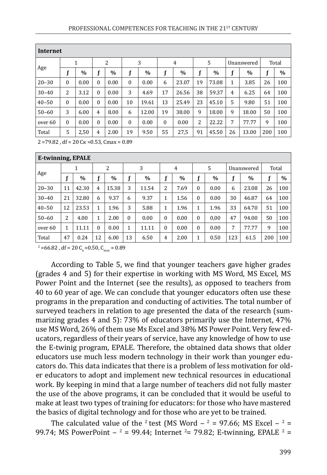|           | Internet |      |                |      |              |       |                |       |    |               |                |       |     |       |  |
|-----------|----------|------|----------------|------|--------------|-------|----------------|-------|----|---------------|----------------|-------|-----|-------|--|
|           | 1        |      | 2              |      | 3            |       | $\overline{4}$ |       | 5  |               | Unanswered     |       |     | Total |  |
| Age       |          | $\%$ | f              | $\%$ | f            | $\%$  | f              | $\%$  |    | $\frac{0}{0}$ |                | $\%$  |     | $\%$  |  |
| $20 - 30$ | $\Omega$ | 0.00 | $\mathbf{0}$   | 0.00 | $\theta$     | 0.00  | 6              | 23.07 | 19 | 73.08         | 1              | 3.85  | 26  | 100   |  |
| $30 - 40$ | 2        | 3.12 | $\mathbf{0}$   | 0.00 | 3            | 4.69  | 17             | 26.56 | 38 | 59.37         | $\overline{4}$ | 6.25  | 64  | 100   |  |
| $40 - 50$ | $\Omega$ | 0.00 | $\theta$       | 0.00 | 10           | 19.61 | 13             | 25.49 | 23 | 45.10         | 5              | 9.80  | 51  | 100   |  |
| $50 - 60$ | 3        | 6.00 | 4              | 8.00 | 6            | 12.00 | 19             | 38.00 | 9  | 18.00         | 9              | 18.00 | 50  | 100   |  |
| over 60   | $\Omega$ | 0.00 | $\mathbf{0}$   | 0.00 | $\mathbf{0}$ | 0.00  | $\Omega$       | 0.00  | 2  | 22.22         | 7              | 77.77 | 9   | 100   |  |
| Total     | 5        | 2,50 | $\overline{4}$ | 2.00 | 19           | 9.50  | 55             | 27,5  | 91 | 45.50         | 26             | 13.00 | 200 | 100   |  |

 $2 = 79.82$ , df = 20 C<sub>K</sub> = 0.53, Cmax = 0.89

|           | E-twinning, EPALE |       |          |       |          |       |                  |      |              |      |            |       |       |               |
|-----------|-------------------|-------|----------|-------|----------|-------|------------------|------|--------------|------|------------|-------|-------|---------------|
|           |                   | 1     |          | 2     | 3        |       |                  | 4    | 5            |      | Unanswered |       | Total |               |
| Age       |                   | $\%$  | f        | $\%$  |          | $\%$  |                  | $\%$ |              | $\%$ |            | $\%$  | f     | $\frac{0}{0}$ |
| $20 - 30$ | 11                | 42.30 | 4        | 15.38 | 3        | 11.54 | 2                | 7.69 | $\theta$     | 0.00 | 6          | 23.08 | 26    | 100           |
| $30 - 40$ | 21                | 32.80 | 6        | 9.37  | 6        | 9.37  | 1                | 1.56 | $\Omega$     | 0.00 | 30         | 46.87 | 64    | 100           |
| $40 - 50$ | 12                | 23.53 | 1        | 1.96  | 3        | 5.88  | 1                | 1.96 | 1            | 1.96 | 33         | 64.70 | 51    | 100           |
| $50 - 60$ | 2                 | 4.00  | 1        | 2.00  | $\Omega$ | 0.00  | $\boldsymbol{0}$ | 0.00 | $\Omega$     | 0,00 | 47         | 94.00 | 50    | 100           |
| over 60   | 1                 | 11.11 | $\theta$ | 0.00  | 1        | 11.11 | $\mathbf{0}$     | 0.00 | $\mathbf{0}$ | 0.00 | 7          | 77.77 | 9     | 100           |
| Total     | 47                | 0.24  | 12       | 6.00  | 13       | 6.50  | 4                | 2.00 | 1            | 0.50 | 123        | 61.5  | 200   | 100           |

 $^2$  =66.82, df = 20 C<sub>k</sub>=0.50, C<sub>max</sub> = 0.89

According to Table 5, we find that younger teachers gave higher grades (grades 4 and 5) for their expertise in working with MS Word, MS Excel, MS Power Point and the Internet (see the results), as opposed to teachers from 40 to 60 year of age. We can conclude that younger educators often use these programs in the preparation and conducting of activities. The total number of surveyed teachers in relation to age presented the data of the research (summarizing grades 4 and 5): 73% of educators primarily use the Internet, 47% use MS Word, 26% of them use Ms Excel and 38% MS Power Point. Very few educators, regardless of their years of service, have any knowledge of how to use the E-twinig program, EPALE. Therefore, the obtained data shows that older educators use much less modern technology in their work than younger educators do. This data indicates that there is a problem of less motivation for older educators to adopt and implement new technical resources in educational work. By keeping in mind that a large number of teachers did not fully master the use of the above programs, it can be concluded that it would be useful to make at least two types of training for educators: for those who have mastered the basics of digital technology and for those who are yet to be trained.

The calculated value of the  $2$  test (MS Word  $-2$  = 97.66; MS Excel  $-2$  = 99.74; MS PowerPoint  $-2 = 99.44$ ; Internet  $2 = 79.82$ ; E-twinning, EPALE  $2 = 2$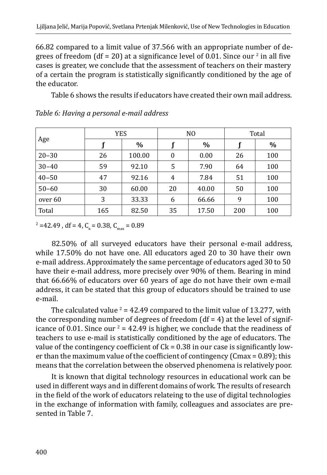66.82 compared to a limit value of 37.566 with an appropriate number of degrees of freedom (df = 20) at a significance level of 0.01. Since our  $\frac{2}{3}$  in all five cases is greater, we conclude that the assessment of teachers on their mastery of a certain the program is statistically significantly conditioned by the age of the educator.

Table 6 shows the results if educators have created their own mail address.

|           | <b>YES</b> |        |    | N <sub>0</sub> | Total |      |  |
|-----------|------------|--------|----|----------------|-------|------|--|
| Age       |            | $\%$   |    | $\%$           |       | $\%$ |  |
| $20 - 30$ | 26         | 100.00 | 0  | 0.00           | 26    | 100  |  |
| $30 - 40$ | 59         | 92.10  | 5  | 7.90           | 64    | 100  |  |
| $40 - 50$ | 47         | 92.16  | 4  | 7.84           | 51    | 100  |  |
| $50 - 60$ | 30         | 60.00  | 20 | 40.00          | 50    | 100  |  |
| over 60   | 3          | 33.33  | 6  | 66.66          | 9     | 100  |  |
| Total     | 165        | 82.50  | 35 | 17.50          | 200   | 100  |  |

#### *Table 6: Having a personal e-mail address*

 $\mu^2$  =42.49, df = 4, C<sub>k</sub> = 0.38, C<sub>max</sub> = 0.89

82.50% of all surveyed educators have their personal e-mail address, while 17.50% do not have one. All educators aged 20 to 30 have their own e-mail address. Approximately the same percentage of educators aged 30 to 50 have their e-mail address, more precisely over 90% of them. Bearing in mind that 66.66% of educators over 60 years of age do not have their own e-mail address, it can be stated that this group of educators should be trained to use e-mail.

The calculated value  $^2$  = 42.49 compared to the limit value of 13.277, with the corresponding number of degrees of freedom  $(df = 4)$  at the level of significance of 0.01. Since our  $2$  = 42.49 is higher, we conclude that the readiness of teachers to use e-mail is statistically conditioned by the age of educators. The value of the contingency coefficient of  $C_k = 0.38$  in our case is significantly lower than the maximum value of the coefficient of contingency (Cmax = 0.89); this means that the correlation between the observed phenomena is relatively poor.

It is known that digital technology resources in educational work can be used in different ways and in different domains of work. The results of research in the field of the work of educators relateing to the use of digital technologies in the exchange of information with family, colleagues and associates are presented in Table 7.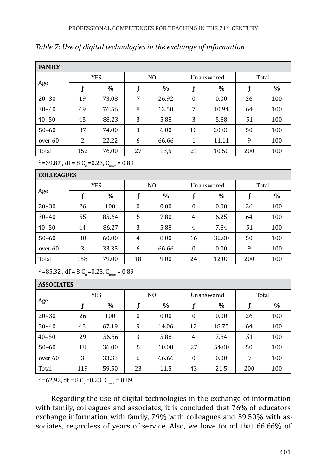| <b>FAMILY</b> |     |            |    |                |                  |            |     |       |
|---------------|-----|------------|----|----------------|------------------|------------|-----|-------|
|               |     | <b>YES</b> |    | N <sub>0</sub> |                  | Unanswered |     | Total |
| Age           |     | $\%$       |    | $\%$           | f                | $\%$       |     | $\%$  |
| $20 - 30$     | 19  | 73.08      | 7  | 26.92          | $\boldsymbol{0}$ | 0.00       | 26  | 100   |
| $30 - 40$     | 49  | 76.56      | 8  | 12.50          | 7                | 10.94      | 64  | 100   |
| $40 - 50$     | 45  | 88.23      | 3  | 5.88           | 3                | 5.88       | 51  | 100   |
| $50 - 60$     | 37  | 74.00      | 3  | 6.00           | 10               | 20.00      | 50  | 100   |
| over 60       | 2   | 22.22      | 6  | 66.66          | 1                | 11.11      | 9   | 100   |
| Total         | 152 | 76.00      | 27 | 13,5           | 21               | 10.50      | 200 | 100   |

### *Table 7: Use of digital technologies in the exchange of information*

 $\mu^2$  =39.87, df = 8 C<sub>k</sub> = 0.23, C<sub>max</sub> = 0.89

COLLEAGUES

| ,,,,,,,,,,,,,, |     |            |                  |                |              |            |     |       |
|----------------|-----|------------|------------------|----------------|--------------|------------|-----|-------|
|                |     | <b>YES</b> |                  | N <sub>0</sub> |              | Unanswered |     | Total |
| Age            |     | %          |                  | $\%$           |              | $\%$       |     | $\%$  |
| $20 - 30$      | 26  | 100        | $\boldsymbol{0}$ | 0.00           | $\mathbf{0}$ | 0.00       | 26  | 100   |
| $30 - 40$      | 55  | 85.64      | 5                | 7.80           | 4            | 6.25       | 64  | 100   |
| $40 - 50$      | 44  | 86.27      | 3                | 5.88           | 4            | 7.84       | 51  | 100   |
| $50 - 60$      | 30  | 60.00      | 4                | 8.00           | 16           | 32.00      | 50  | 100   |
| over 60        | 3   | 33.33      | 6                | 66.66          | $\mathbf{0}$ | 0.00       | 9   | 100   |
| Total          | 158 | 79.00      | 18               | 9.00           | 24           | 12.00      | 200 | 100   |

 $^2$  =85.32, df = 8 C<sub>k</sub> =0.23, C<sub>max</sub> = 0.89

| <b>ASSOCIATES</b> |            |       |                |       |              |       |       |      |
|-------------------|------------|-------|----------------|-------|--------------|-------|-------|------|
|                   | <b>YES</b> |       | N <sub>0</sub> |       | Unanswered   |       | Total |      |
| Age               |            | $\%$  |                | $\%$  |              | $\%$  |       | $\%$ |
| $20 - 30$         | 26         | 100   | $\mathbf{0}$   | 0.00  | $\mathbf{0}$ | 0.00  | 26    | 100  |
| $30 - 40$         | 43         | 67.19 | 9              | 14.06 | 12           | 18.75 | 64    | 100  |
| $40 - 50$         | 29         | 56.86 | 3              | 5.88  | 4            | 7.84  | 51    | 100  |
| $50 - 60$         | 18         | 36.00 | 5              | 10.00 | 27           | 54.00 | 50    | 100  |
| over 60           | 3          | 33.33 | 6              | 66.66 | $\mathbf{0}$ | 0.00  | 9     | 100  |
| Total             | 119        | 59.50 | 23             | 11.5  | 43           | 21.5  | 200   | 100  |

 $\mu^2$  =62.92, df = 8 C<sub>k</sub> =0.23, C<sub>max</sub> = 0.89

Regarding the use of digital technologies in the exchange of information with family, colleagues and associates, it is concluded that 76% of educators exchange information with family, 79% with colleagues and 59.50% with associates, regardless of years of service. Also, we have found that 66.66% of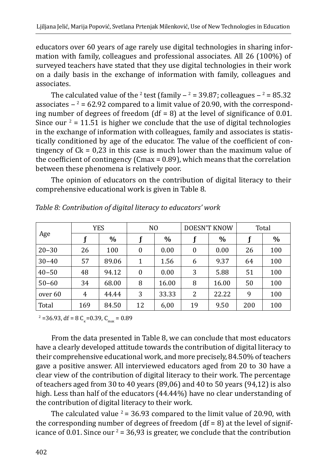educators over 60 years of age rarely use digital technologies in sharing information with family, colleagues and professional associates. All 26 (100%) of surveyed teachers have stated that they use digital technologies in their work on a daily basis in the exchange of information with family, colleagues and associates.

The calculated value of the <sup>2</sup> test (family  $=$  39.87; colleagues  $=$  85.32 associates  $-2$  = 62.92 compared to a limit value of 20.90, with the corresponding number of degrees of freedom  $(df = 8)$  at the level of significance of 0.01. Since our  $2 = 11.51$  is higher we conclude that the use of digital technologies in the exchange of information with colleagues, family and associates is statistically conditioned by age of the educator. The value of the coefficient of contingency of  $Ck = 0.23$  in this case is much lower than the maximum value of the coefficient of contingency (Cmax = 0.89), which means that the correlation between these phenomena is relatively poor.

The opinion of educators on the contribution of digital literacy to their comprehensive educational work is given in Table 8.

|           |     | YES   | N <sub>0</sub>   |       |    | <b>DOESN'T KNOW</b> | Total |      |
|-----------|-----|-------|------------------|-------|----|---------------------|-------|------|
| Age       |     | $\%$  |                  | $\%$  |    | $\%$                |       | $\%$ |
| $20 - 30$ | 26  | 100   | $\boldsymbol{0}$ | 0.00  | 0  | 0.00                | 26    | 100  |
| $30 - 40$ | 57  | 89.06 | 1                | 1.56  | 6  | 9.37                | 64    | 100  |
| $40 - 50$ | 48  | 94.12 | $\boldsymbol{0}$ | 0.00  | 3  | 5.88                | 51    | 100  |
| $50 - 60$ | 34  | 68.00 | 8                | 16.00 | 8  | 16.00               | 50    | 100  |
| over 60   | 4   | 44.44 | 3                | 33.33 | 2  | 22.22               | 9     | 100  |
| Total     | 169 | 84.50 |                  | 6,00  | 19 | 9.50                | 200   | 100  |

*Table 8: Contribution of digital literacy to educators' work*

 $C_{\text{max}}$  = 36.93, df = 8 C<sub>k</sub> = 0.39, C<sub>max</sub> = 0.89

From the data presented in Table 8, we can conclude that most educators have a clearly developed attitude towards the contribution of digital literacy to their comprehensive educational work, and more precisely, 84.50% of teachers gave a positive answer. All interviewed educators aged from 20 to 30 have a clear view of the contribution of digital literacy to their work. The percentage of teachers aged from 30 to 40 years (89,06) and 40 to 50 years (94,12) is also high. Less than half of the educators (44.44%) have no clear understanding of the contribution of digital literacy to their work.

The calculated value  $2 = 36.93$  compared to the limit value of 20.90, with the corresponding number of degrees of freedom  $(df = 8)$  at the level of significance of 0.01. Since our  $2 = 36.93$  is greater, we conclude that the contribution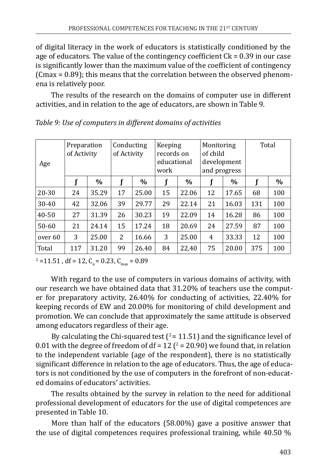of digital literacy in the work of educators is statistically conditioned by the age of educators. The value of the contingency coefficient Ck = 0.39 in our case is significantly lower than the maximum value of the coefficient of contingency (Cmax = 0.89); this means that the correlation between the observed phenomena is relatively poor.

The results of the research on the domains of computer use in different activities, and in relation to the age of educators, are shown in Table 9.

| Age       | Preparation<br>of Activity |       | Conducting<br>Keeping<br>Monitoring<br>of child<br>records on<br>of Activity<br>educational<br>development<br>and progress<br>work |       |    |       |    | Total |     |      |
|-----------|----------------------------|-------|------------------------------------------------------------------------------------------------------------------------------------|-------|----|-------|----|-------|-----|------|
|           | f                          | $\%$  |                                                                                                                                    | $\%$  | f  | $\%$  |    | $\%$  |     | $\%$ |
| $20 - 30$ | 24                         | 35.29 | 17                                                                                                                                 | 25.00 | 15 | 22.06 | 12 | 17.65 | 68  | 100  |
| $30 - 40$ | 42                         | 32.06 | 39<br>29.77                                                                                                                        |       | 29 | 22.14 | 21 | 16.03 | 131 | 100  |
| $40 - 50$ | 27                         | 31.39 | 26                                                                                                                                 | 30.23 | 19 | 22.09 | 14 | 16.28 | 86  | 100  |
| $50 - 60$ | 21                         | 24.14 | 15                                                                                                                                 | 17.24 | 18 | 20.69 | 24 | 27.59 | 87  | 100  |
| over 60   | 3                          | 25.00 | 2                                                                                                                                  | 16.66 | 3  | 25.00 | 4  | 33.33 | 12  | 100  |
| Total     | 117                        | 31.20 | 99                                                                                                                                 | 26.40 | 84 | 22,40 | 75 | 20.00 | 375 | 100  |

*Table 9: Use of computers in different domains of activities*

 $\mu^2$  =11.51, df = 12, C<sub>k</sub> = 0.23, C<sub>max</sub> = 0.89

With regard to the use of computers in various domains of activity, with our research we have obtained data that 31.20% of teachers use the computer for preparatory activity, 26.40% for conducting of activities, 22.40% for keeping records of EW and 20.00% for monitoring of child development and promotion. We can conclude that approximately the same attitude is observed among educators regardless of their age.

By calculating the Chi-squared test  $(2 = 11.51)$  and the significance level of 0.01 with the degree of freedom of  $df = 12$  ( $2 = 20.90$ ) we found that, in relation to the independent variable (age of the respondent), there is no statistically significant difference in relation to the age of educators. Thus, the age of educators is not conditioned by the use of computers in the forefront of non-educated domains of educators' activities.

The results obtained by the survey in relation to the need for additional professional development of educators for the use of digital competences are presented in Table 10.

More than half of the educators (58.00%) gave a positive answer that the use of digital competences requires professional training, while 40.50 %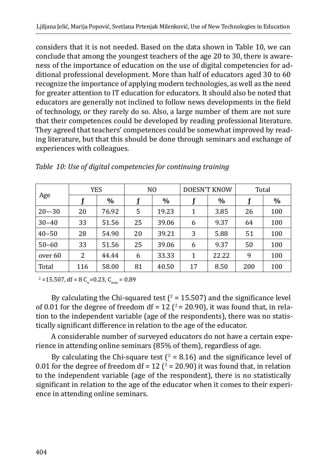considers that it is not needed. Based on the data shown in Table 10, we can conclude that among the youngest teachers of the age 20 to 30, there is awareness of the importance of education on the use of digital competencies for additional professional development. More than half of educators aged 30 to 60 recognize the importance of applying modern technologies, as well as the need for greater attention to IT education for educators. It should also be noted that educators are generally not inclined to follow news developments in the field of technology, or they rarely do so. Also, a large number of them are not sure that their competences could be developed by reading professional literature. They agreed that teachers' competences could be somewhat improved by reading literature, but that this should be done through seminars and exchange of experiences with colleagues.

|            |     | YES   |    | N <sub>0</sub> | <b>DOESN'T KNOW</b> |       | Total |      |
|------------|-----|-------|----|----------------|---------------------|-------|-------|------|
| Age        |     | $\%$  |    | $\%$           |                     | $\%$  |       | $\%$ |
| $20 - -30$ | 20  | 76.92 | 5  | 19.23          | 1                   | 3.85  | 26    | 100  |
| $30 - 40$  | 33  | 51.56 | 25 | 39.06          | 6                   | 9.37  | 64    | 100  |
| $40 - 50$  | 28  | 54.90 | 20 | 39.21          | 3                   | 5.88  | 51    | 100  |
| $50 - 60$  | 33  | 51.56 | 25 | 39.06          | 6                   | 9.37  | 50    | 100  |
| over 60    | 2   | 44.44 | 6  | 33.33          | 1                   | 22.22 | 9     | 100  |
| Total      | 116 | 58.00 | 81 | 40.50          | 17                  | 8.50  | 200   | 100  |

*Table 10: Use of digital competencies for continuing training*

 $\mu^2$  =15.507, df = 8 C<sub>k</sub>=0.23, C<sub>max</sub> = 0.89

By calculating the Chi-squared test ( $\ell$  = 15.507) and the significance level of 0.01 for the degree of freedom df = 12  $(^{2}$  = 20.90), it was found that, in relation to the independent variable (age of the respondents), there was no statistically significant difference in relation to the age of the educator.

A considerable number of surveyed educators do not have a certain experience in attending online seminars (85% of them), regardless of age.

By calculating the Chi-square test ( $^2$  = 8.16) and the significance level of 0.01 for the degree of freedom  $df = 12$  ( $\ell = 20.90$ ) it was found that, in relation to the independent variable (age of the respondent), there is no statistically significant in relation to the age of the educator when it comes to their experience in attending online seminars.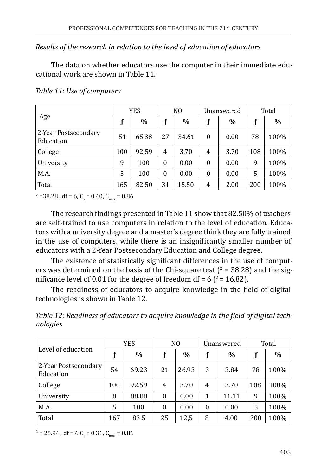*Results of the research in relation to the level of education of educators*

The data on whether educators use the computer in their immediate educational work are shown in Table 11.

|                                   |     | <b>YES</b> |          | N <sub>O</sub> |          | Unanswered |     | Total |
|-----------------------------------|-----|------------|----------|----------------|----------|------------|-----|-------|
| Age                               |     | $\%$       |          | $\%$           |          | $\%$       |     | $\%$  |
| 2-Year Postsecondary<br>Education | 51  | 65.38      | 27       | 34.61          | $\theta$ | 0.00       | 78  | 100%  |
| College                           | 100 | 92.59      | 4        | 3.70           | 4        | 3.70       | 108 | 100%  |
| University                        | 9   | 100        | $\theta$ | 0.00           | $\theta$ | 0.00       | 9   | 100%  |
| M.A.                              | 5   | 100        | $\theta$ | 0.00           | $\theta$ | 0.00       | 5   | 100%  |
| Total                             | 165 | 82.50      | 31       | 15.50          | 4        | 2.00       | 200 | 100%  |

*Table 11: Use of computers*

 $\mu^2$  =38.28, df = 6, C<sub>k</sub> = 0.40, C<sub>max</sub> = 0.86

The research findings presented in Table 11 show that 82.50% of teachers are self-trained to use computers in relation to the level of education. Educators with a university degree and a master's degree think they are fully trained in the use of computers, while there is an insignificantly smaller number of educators with a 2-Year Postsecondary Education and College degree.

The existence of statistically significant differences in the use of computers was determined on the basis of the Chi-square test ( $2$  = 38.28) and the significance level of 0.01 for the degree of freedom df =  $6(^{2} = 16.82)$ .

The readiness of educators to acquire knowledge in the field of digital technologies is shown in Table 12.

*Table 12: Readiness of educators to acquire knowledge in the field of digital technologies*

|                                   |     | YES   |          | N <sub>0</sub> |          | Unanswered    |     | Total |
|-----------------------------------|-----|-------|----------|----------------|----------|---------------|-----|-------|
| Level of education                |     | $\%$  |          | $\%$           |          | $\frac{0}{0}$ |     | $\%$  |
| 2-Year Postsecondary<br>Education | 54  | 69.23 | 21       | 26.93          | 3        | 3.84          | 78  | 100%  |
| College                           | 100 | 92.59 | 4        | 3.70           | 4        | 3.70          | 108 | 100%  |
| University                        | 8   | 88.88 | $\theta$ | 0.00           | 1        | 11.11         | 9   | 100%  |
| M.A.                              | 5   | 100   | $\theta$ | 0.00           | $\theta$ | 0.00          | 5   | 100%  |
| Total                             | 167 | 83.5  | 25       | 12,5           | 8        | 4.00          | 200 | 100%  |

 $T^2 = 25.94$  , df = 6 C<sub>k</sub> = 0.31, C<sub>max</sub> = 0.86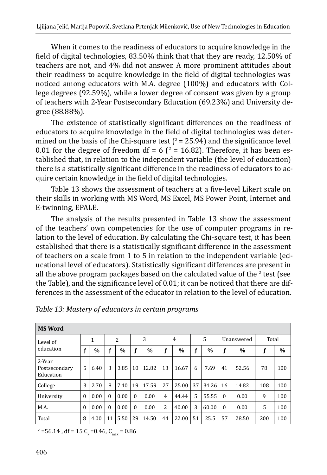When it comes to the readiness of educators to acquire knowledge in the field of digital technologies, 83.50% think that that they are ready, 12.50% of teachers are not, and 4% did not answer. A more prominent attitudes about their readiness to acquire knowledge in the field of digital technologies was noticed among educators with M.A. degree (100%) and educators with College degrees (92.59%), while a lower degree of consent was given by a group of teachers with 2-Year Postsecondary Education (69.23%) and University degree (88.88%).

The existence of statistically significant differences on the readiness of educators to acquire knowledge in the field of digital technologies was determined on the basis of the Chi-square test  $(^{2}$  = 25.94) and the significance level  $0.01$  for the degree of freedom df = 6 ( $\textdegree$  = 16.82). Therefore, it has been established that, in relation to the independent variable (the level of education) there is a statistically significant difference in the readiness of educators to acquire certain knowledge in the field of digital technologies.

Table 13 shows the assessment of teachers at a five-level Likert scale on their skills in working with MS Word, MS Excel, MS Power Point, Internet and E-twinning, EPALE.

The analysis of the results presented in Table 13 show the assessment of the teachers' own competencies for the use of computer programs in relation to the level of education. By calculating the Chi-square test, it has been established that there is a statistically significant difference in the assessment of teachers on a scale from 1 to 5 in relation to the independent variable (educational level of educators). Statistically significant differences are present in all the above program packages based on the calculated value of the  $^2$  test (see the Table), and the significance level of 0.01; it can be noticed that there are differences in the assessment of the educator in relation to the level of education.

| <b>MS Word</b>                       |              |               |          |                |          |               |                |                |    |               |          |            |       |      |
|--------------------------------------|--------------|---------------|----------|----------------|----------|---------------|----------------|----------------|----|---------------|----------|------------|-------|------|
| Level of                             |              | $\mathbf{1}$  |          | $\overline{2}$ |          | 3             |                | $\overline{4}$ |    | 5             |          | Unanswered | Total |      |
| education                            | f            | $\frac{0}{0}$ |          | $\frac{0}{0}$  |          | $\frac{0}{0}$ | f              | $\frac{0}{0}$  | f  | $\frac{0}{0}$ |          | $\%$       |       | $\%$ |
| 2-Year<br>Postsecondary<br>Education | 5            | 6.40          | 3        | 3.85           | 10       | 12.82         | 13             | 16.67          | 6  | 7.69          | 41       | 52.56      | 78    | 100  |
| College                              | 3            | 2.70          | 8        | 7.40           | 19       | 17.59         | 27             | 25.00          | 37 | 34.26         | 16       | 14.82      | 108   | 100  |
| University                           | $\mathbf{0}$ | 0.00          | $\Omega$ | 0.00           | $\theta$ | 0.00          | $\overline{4}$ | 44.44          | 5  | 55.55         | $\theta$ | 0.00       | 9     | 100  |
| M.A.                                 | $\mathbf{0}$ | 0.00          | $\Omega$ | 0.00           | $\theta$ | 0.00          | 2              | 40.00          | 3  | 60.00         | $\theta$ | 0.00       | 5     | 100  |
| Total                                | 8            | 4.00          | 11       | 5.50           | 29       | 14.50         | 44             | 22.00          | 51 | 25.5          | 57       | 28.50      | 200   | 100  |

*Table 13: Mastery of educators in certain programs*

 $\mu^2$  =56.14, df = 15 C<sub>k</sub> = 0.46, C<sub>max</sub> = 0.86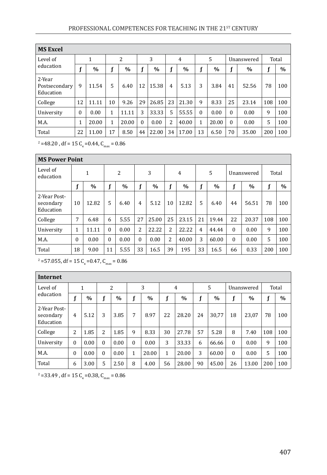| <b>MS Excel</b>                      |              |               |              |                |          |               |                |       |          |       |          |            |     |       |
|--------------------------------------|--------------|---------------|--------------|----------------|----------|---------------|----------------|-------|----------|-------|----------|------------|-----|-------|
| Level of                             |              | 1             |              | $\overline{2}$ |          | 3             |                | 4     |          | .5    |          | Unanswered |     | Total |
| education                            |              | $\frac{0}{0}$ | f            | $\%$           |          | $\frac{0}{0}$ |                | $\%$  | f        | $\%$  |          | $\%$       | f   | $\%$  |
| 2-Year<br>Postsecondary<br>Education | 9            | 11.54         | 5            | 6.40           | 12       | 15.38         | $\overline{4}$ | 5.13  | 3        | 3.84  | 41       | 52.56      | 78  | 100   |
| College                              | 12           | 11.11         | 10           | 9.26           | 29       | 26.85         | 23             | 21.30 | 9        | 8.33  | 25       | 23.14      | 108 | 100   |
| University                           | $\theta$     | 0.00          | $\mathbf{1}$ | 11.11          | 3        | 33.33         | 5              | 55.55 | $\theta$ | 0.00  | $\theta$ | 0.00       | 9   | 100   |
| M.A.                                 | $\mathbf{1}$ | 20.00         | $\mathbf{1}$ | 20.00          | $\Omega$ | 0.00          | 2              | 40.00 | 1        | 20.00 | $\Omega$ | 0.00       | 5   | 100   |
| Total                                | 22           | 11.00         | 17           | 8.50           | 44       | 22.00         | 34             | 17.00 | 13       | 6.50  | 70       | 35.00      | 200 | 100   |

 $\mu^2$  =48.20, dt = 15 C<sub>k</sub> =0.44, C<sub>max</sub> = 0.86

|                                        | <b>MS Power Point</b> |              |          |      |                  |       |    |       |                |       |          |            |       |               |  |
|----------------------------------------|-----------------------|--------------|----------|------|------------------|-------|----|-------|----------------|-------|----------|------------|-------|---------------|--|
| Level of<br>education                  |                       | $\mathbf{1}$ |          | 2    |                  | 3     |    | 4     |                | 5     |          | Unanswered | Total |               |  |
|                                        | f                     | $\%$         | f        | $\%$ | f                | $\%$  | f  | $\%$  | f              | $\%$  | f        | $\%$       | f     | $\frac{0}{0}$ |  |
| 2-Year Post-<br>secondary<br>Education | 10                    | 12.82        | 5        | 6.40 | 4                | 5.12  | 10 | 12.82 | 5              | 6.40  | 44       | 56.51      | 78    | 100           |  |
| College                                | 7                     | 6.48         | 6        | 5.55 | 27               | 25.00 | 25 | 23.15 | 21             | 19.44 | 22       | 20.37      | 108   | 100           |  |
| University                             | 1                     | 11.11        | $\theta$ | 0.00 | 2                | 22.22 | 2  | 22.22 | $\overline{4}$ | 44.44 | $\Omega$ | 0.00       | 9     | 100           |  |
| M.A.                                   | 0                     | 0.00         | $\theta$ | 0.00 | $\boldsymbol{0}$ | 0.00  | 2  | 40.00 | 3              | 60.00 | $\Omega$ | 0.00       | 5     | 100           |  |
| Total                                  | 18                    | 9.00         | 11       | 5.55 | 33               | 16.5  | 39 | 195   | 33             | 16.5  | 66       | 0.33       | 200   | 100           |  |

 $\mu^2$  =57.055, df = 15 C<sub>k</sub>=0.47, C<sub>max</sub> = 0.86

| <b>Internet</b>                        |                |               |          |               |          |       |    |                |    |       |          |               |     |               |
|----------------------------------------|----------------|---------------|----------|---------------|----------|-------|----|----------------|----|-------|----------|---------------|-----|---------------|
| Level of                               |                | 1             |          | 2             |          | 3     |    | $\overline{4}$ |    | 5     |          | Unanswered    |     | Total         |
| education                              | f              | $\frac{0}{0}$ | f        | $\frac{0}{0}$ | f        | $\%$  | f  | $\frac{0}{0}$  | f  | $\%$  |          | $\frac{0}{0}$ | f   | $\frac{0}{0}$ |
| 2-Year Post-<br>secondary<br>Education | $\overline{4}$ | 5.12          | 3        | 3.85          | 7        | 8.97  | 22 | 28.20          | 24 | 30.77 | 18       | 23,07         | 78  | 100           |
| College                                | 2              | 1.85          | 2        | 1.85          | 9        | 8.33  | 30 | 27.78          | 57 | 5.28  | 8        | 7.40          | 108 | 100           |
| University                             | $\theta$       | 0.00          | $\theta$ | 0.00          | $\Omega$ | 0.00  | 3  | 33.33          | 6  | 66.66 | $\theta$ | 0.00          | 9   | 100           |
| M.A.                                   | $\mathbf{0}$   | 0.00          | $\Omega$ | 0.00          | 1        | 20.00 | 1  | 20.00          | 3  | 60.00 | $\Omega$ | 0.00          | 5   | 100           |
| Total                                  | 6              | 3.00          | 5        | 2.50          | 8        | 4.00  | 56 | 28.00          | 90 | 45.00 | 26       | 13.00         | 200 | 100           |

 $\mu^2$  =33.49, df = 15 C<sub>k</sub> =0.38, C<sub>max</sub> = 0.86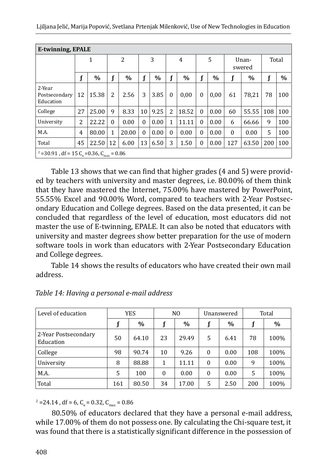| E-twinning, EPALE                                                            |                |       |             |       |          |      |                |       |              |      |                 |       |             |      |
|------------------------------------------------------------------------------|----------------|-------|-------------|-------|----------|------|----------------|-------|--------------|------|-----------------|-------|-------------|------|
|                                                                              |                | 1     | 2           |       | 3        |      | $\overline{4}$ |       | 5            |      | Unan-<br>swered |       | Total       |      |
|                                                                              | f              | $\%$  | $\mathbf f$ | $\%$  |          | $\%$ |                | $\%$  | $\mathbf f$  | $\%$ | f               | $\%$  | $\mathbf f$ | $\%$ |
| 2-Year<br>Postsecondary<br>Education                                         | 12             | 15.38 | 2           | 2.56  | 3        | 3.85 | $\theta$       | 0.00  | $\theta$     | 0,00 | 61              | 78,21 | 78          | 100  |
| College                                                                      | 27             | 25.00 | 9           | 8.33  | 10       | 9.25 | $\overline{2}$ | 18.52 | $\theta$     | 0.00 | 60              | 55.55 | 108         | 100  |
| University                                                                   | $\overline{2}$ | 22.22 | $\Omega$    | 0.00  | $\Omega$ | 0.00 | 1              | 11.11 | $\theta$     | 0.00 | 6               | 66.66 | 9           | 100  |
| M.A.                                                                         | $\overline{4}$ | 80.00 | 1           | 20.00 | $\Omega$ | 0.00 | $\Omega$       | 0.00  | $\theta$     | 0.00 | $\Omega$        | 0.00  | 5           | 100  |
| Total                                                                        | 45             | 22.50 | 12          | 6.00  | 13       | 6.50 | 3              | 1.50  | $\mathbf{0}$ | 0.00 | 127             | 63.50 | 200         | 100  |
| <sup>2</sup> = 30.91, df = 15 C <sub>k</sub> = 0.36, C <sub>max</sub> = 0.86 |                |       |             |       |          |      |                |       |              |      |                 |       |             |      |

Table 13 shows that we can find that higher grades (4 and 5) were provided by teachers with university and master degrees, i.e. 80.00% of them think that they have mastered the Internet, 75.00% have mastered by PowerPoint, 55.55% Excel and 90.00% Word, compared to teachers with 2-Year Postsecondary Education and College degrees. Based on the data presented, it can be concluded that regardless of the level of education, most educators did not master the use of E-twinning, EPALE. It can also be noted that educators with university and master degrees show better preparation for the use of modern software tools in work than educators with 2-Year Postsecondary Education and College degrees.

Table 14 shows the results of educators who have created their own mail address.

| Level of education                |     | YES   |          | N <sub>0</sub> |          | Unanswered |     | Total |
|-----------------------------------|-----|-------|----------|----------------|----------|------------|-----|-------|
|                                   |     | $\%$  |          | $\frac{0}{0}$  |          | $\%$       |     | $\%$  |
| 2-Year Postsecondary<br>Education | 50  | 64.10 | 23       | 29.49          | 5        | 6.41       | 78  | 100%  |
| College                           | 98  | 90.74 | 10       | 9.26           | $\Omega$ | 0.00       | 108 | 100%  |
| University                        | 8   | 88.88 | 1        | 11.11          | $\Omega$ | 0.00       | 9   | 100%  |
| M.A.                              | 5   | 100   | $\theta$ | 0.00           | $\Omega$ | 0.00       | 5   | 100%  |
| Total                             | 161 | 80.50 | 34       | 17.00          | 5        | 2.50       | 200 | 100%  |

*Table 14: Having a personal e-mail address*

 $C_{\rm q}$  = 24.14, df = 6, C<sub>k</sub> = 0.32, C<sub>max</sub> = 0.86

80.50% of educators declared that they have a personal e-mail address, while 17.00% of them do not possess one. By calculating the Chi-square test, it was found that there is a statistically significant difference in the possession of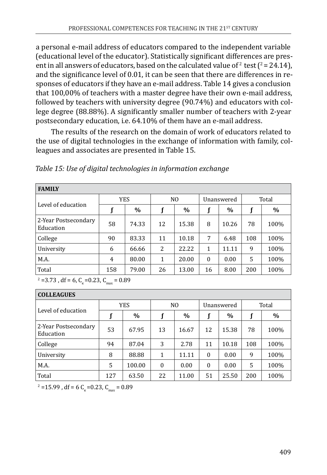a personal e-mail address of educators compared to the independent variable (educational level of the educator). Statistically significant differences are present in all answers of educators, based on the calculated value of <sup>2</sup> test ( $2 = 24.14$ ), and the significance level of 0.01, it can be seen that there are differences in responses of educators if they have an e-mail address. Table 14 gives a conclusion that 100,00% of teachers with a master degree have their own e-mail address, followed by teachers with university degree (90.74%) and educators with college degree (88.88%). A significantly smaller number of teachers with 2-year postsecondary education, i.e. 64.10% of them have an e-mail address.

The results of the research on the domain of work of educators related to the use of digital technologies in the exchange of information with family, colleagues and associates are presented in Table 15.

|  |  | Table 15: Use of digital technologies in information exchange |  |
|--|--|---------------------------------------------------------------|--|
|  |  |                                                               |  |

| <b>FAMILY</b>                     |            |       |    |                |          |            |       |      |  |  |  |
|-----------------------------------|------------|-------|----|----------------|----------|------------|-------|------|--|--|--|
|                                   | <b>YES</b> |       |    | N <sub>0</sub> |          | Unanswered | Total |      |  |  |  |
| Level of education                |            | $\%$  |    | $\%$           |          | $\%$       |       | $\%$ |  |  |  |
| 2-Year Postsecondary<br>Education | 58         | 74.33 | 12 | 15.38          | 8        | 10.26      | 78    | 100% |  |  |  |
| College                           | 90         | 83.33 | 11 | 10.18          | 7        | 6.48       | 108   | 100% |  |  |  |
| University                        | 6          | 66.66 | 2  | 22.22          | 1        | 11.11      | 9     | 100% |  |  |  |
| M.A.                              | 4          | 80.00 | 1  | 20.00          | $\theta$ | 0.00       | 5     | 100% |  |  |  |
| Total                             | 158        | 79.00 | 26 | 13.00          | 16       | 8.00       | 200   | 100% |  |  |  |

 $^2$  =3.73, df = 6, C<sub>k</sub> =0.23, C<sub>max</sub> = 0.89

| <b>COLLEAGUES</b>                 |     |            |          |                |              |            |       |      |  |
|-----------------------------------|-----|------------|----------|----------------|--------------|------------|-------|------|--|
|                                   |     | <b>YES</b> |          | N <sub>0</sub> |              | Unanswered | Total |      |  |
| Level of education                |     | $\%$       |          | $\%$           |              | $\%$       |       | $\%$ |  |
| 2-Year Postsecondary<br>Education | 53  | 67.95      | 13       | 16.67          | 12           | 15.38      | 78    | 100% |  |
| College                           | 94  | 87.04      | 3        | 2.78           | 11           | 10.18      | 108   | 100% |  |
| University                        | 8   | 88.88      | 1        | 11.11          | $\Omega$     | 0.00       | 9     | 100% |  |
| M.A.                              | 5   | 100.00     | $\Omega$ | 0.00           | $\mathbf{0}$ | 0.00       | 5     | 100% |  |
| Total                             | 127 | 63.50      | 22       | 11.00          | 51           | 25.50      | 200   | 100% |  |

 $\mu^2$  =15.99, df = 6 C<sub>k</sub> =0.23, C<sub>max</sub> = 0.89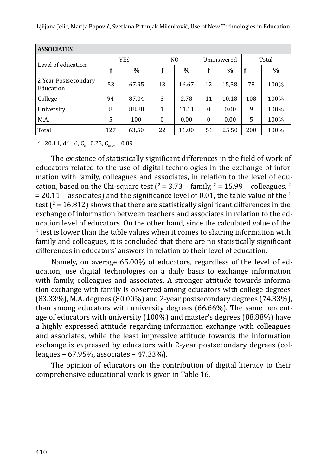| <b>ASSOCIATES</b>                 |     |            |    |                |          |            |       |      |  |  |  |
|-----------------------------------|-----|------------|----|----------------|----------|------------|-------|------|--|--|--|
|                                   |     | <b>YES</b> |    | N <sub>0</sub> |          | Unanswered | Total |      |  |  |  |
| Level of education                |     | $\%$       |    | $\%$           |          | $\%$       |       | $\%$ |  |  |  |
| 2-Year Postsecondary<br>Education | 53  | 67.95      | 13 | 16.67          | 12       | 15,38      | 78    | 100% |  |  |  |
| College                           | 94  | 87.04      | 3  | 2.78           | 11       | 10.18      | 108   | 100% |  |  |  |
| University                        | 8   | 88.88      | 1  | 11.11          | $\Omega$ | 0.00       | 9     | 100% |  |  |  |
| M.A.                              | 5   | 100        | 0  | 0.00           | $\Omega$ | 0.00       | 5     | 100% |  |  |  |
| Total                             | 127 | 63,50      | 22 | 11.00          | 51       | 25.50      | 200   | 100% |  |  |  |

 $\mu^2$  = 20.11, df = 6, C<sub>k</sub> = 0.23, C<sub>max</sub> = 0.89

The existence of statistically significant differences in the field of work of educators related to the use of digital technologies in the exchange of information with family, colleagues and associates, in relation to the level of education, based on the Chi-square test ( $\ell$  = 3.73 – family,  $\ell$  = 15.99 – colleagues,  $\ell$  $= 20.11$  – associates) and the significance level of 0.01, the table value of the <sup>2</sup> test ( $\ell$  = 16.812) shows that there are statistically significant differences in the exchange of information between teachers and associates in relation to the education level of educators. On the other hand, since the calculated value of the <sup>2</sup> test is lower than the table values when it comes to sharing information with family and colleagues, it is concluded that there are no statistically significant differences in educators' answers in relation to their level of education.

Namely, on average 65.00% of educators, regardless of the level of education, use digital technologies on a daily basis to exchange information with family, colleagues and associates. A stronger attitude towards information exchange with family is observed among educators with college degrees (83.33%), M.A. degrees (80.00%) and 2-year postsecondary degrees (74.33%), than among educators with university degrees (66.66%). The same percentage of educators with university (100%) and master's degrees (88.88%) have a highly expressed attitude regarding information exchange with colleagues and associates, while the least impressive attitude towards the information exchange is expressed by educators with 2-year postsecondary degrees (col $le$  leagues  $-67.95\%$ , associates  $-47.33\%$ ).

The opinion of educators on the contribution of digital literacy to their comprehensive educational work is given in Table 16.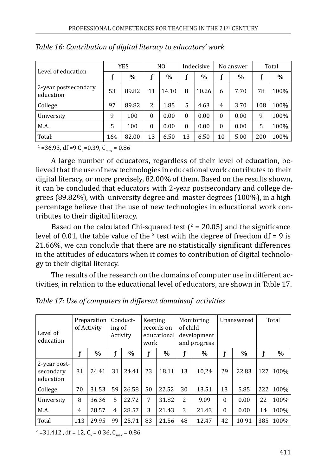|                                   | YES |       | N <sub>0</sub> |       |          | Indecisive |                | No answer | Total |         |
|-----------------------------------|-----|-------|----------------|-------|----------|------------|----------------|-----------|-------|---------|
| Level of education                |     | $\%$  |                | $\%$  |          | $\%$       |                | $\%$      |       | $\%$    |
| 2-year postsecondary<br>education | 53  | 89.82 | 11             | 14.10 | 8        | 10.26      | 6              | 7.70      | 78    | $100\%$ |
| College                           | 97  | 89.82 | 2              | 1.85  | 5        | 4.63       | $\overline{4}$ | 3.70      | 108   | $100\%$ |
| University                        | 9   | 100   | $\Omega$       | 0.00  | $\theta$ | 0.00       | $\theta$       | 0.00      | 9     | 100%    |
| M.A.                              | 5   | 100   | $\Omega$       | 0.00  | $\theta$ | 0.00       | $\theta$       | 0.00      | 5     | 100%    |
| Total:                            | 164 | 82.00 | 13             | 6.50  | 13       | 6.50       | 10             | 5.00      | 200   | 100%    |

| Table 16: Contribution of digital literacy to educators' work |  |
|---------------------------------------------------------------|--|
|---------------------------------------------------------------|--|

 $\mu^2$  =36.93, df =9 C<sub>k</sub> =0.39, C<sub>max</sub> = 0.86

A large number of educators, regardless of their level of education, believed that the use of new technologies in educational work contributes to their digital literacy, or more precisely, 82.00% of them. Based on the results shown, it can be concluded that educators with 2-year postsecondary and college degrees (89.82%), with university degree and master degrees (100%), in a high percentage believe that the use of new technologies in educational work contributes to their digital literacy.

Based on the calculated Chi-squared test ( $\frac{2}{5}$  = 20.05) and the significance level of 0.01, the table value of the  $\frac{2}{3}$  test with the degree of freedom df = 9 is 21.66%, we can conclude that there are no statistically significant differences in the attitudes of educators when it comes to contribution of digital technology to their digital literacy.

The results of the research on the domains of computer use in different activities, in relation to the educational level of educators, are shown in Table 17.

| Level of<br>education                  |     | Preparation<br>of Activity | ing of<br>Activity | Conduct- | Keeping<br>work | records on<br>educational | Monitoring<br>of child |       |          |       | development<br>and progress |      |  |  |  |  |  |  |  |  |  |  |  |  | Unanswered |  |  | Total |
|----------------------------------------|-----|----------------------------|--------------------|----------|-----------------|---------------------------|------------------------|-------|----------|-------|-----------------------------|------|--|--|--|--|--|--|--|--|--|--|--|--|------------|--|--|-------|
|                                        |     | $\%$                       | $\mathbf f$        | $\%$     |                 | $\%$                      | f                      | $\%$  |          | $\%$  |                             | $\%$ |  |  |  |  |  |  |  |  |  |  |  |  |            |  |  |       |
| 2-year post-<br>secondary<br>education | 31  | 24.41                      | 31                 | 24.41    | 23              | 18.11                     | 13                     | 10.24 | 29       | 22.83 | 127                         | 100% |  |  |  |  |  |  |  |  |  |  |  |  |            |  |  |       |
| College                                | 70  | 31.53                      | 59                 | 26.58    | 50              | 22.52                     | 30                     | 13.51 | 13       | 5.85  | 222                         | 100% |  |  |  |  |  |  |  |  |  |  |  |  |            |  |  |       |
| University                             | 8   | 36.36                      | 5                  | 22.72    | 7               | 31.82                     | $\overline{2}$         | 9.09  | $\Omega$ | 0.00  | 22                          | 100% |  |  |  |  |  |  |  |  |  |  |  |  |            |  |  |       |
| M.A.                                   | 4   | 28.57                      | $\overline{4}$     | 28.57    | 3               | 21.43                     | 3                      | 21.43 | $\Omega$ | 0.00  | 14                          | 100% |  |  |  |  |  |  |  |  |  |  |  |  |            |  |  |       |
| Total                                  | 113 | 29.95                      | 99                 | 25.71    | 83              | 21.56                     | 48                     | 12.47 | 42       | 10.91 | 385                         | 100% |  |  |  |  |  |  |  |  |  |  |  |  |            |  |  |       |

*Table 17: Use of computers in different domainsof activities* 

 $C_{\text{max}}$  = 31.412, df = 12, C<sub>k</sub> = 0.36, C<sub>max</sub> = 0.86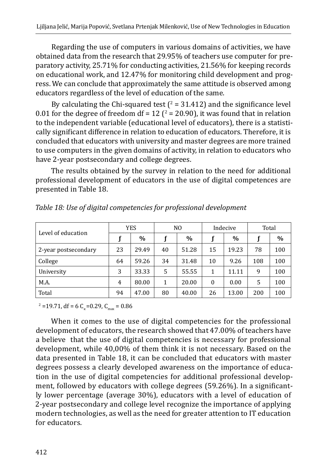Regarding the use of computers in various domains of activities, we have obtained data from the research that 29.95% of teachers use computer for preparatory activity, 25.71% for conducting activities, 21.56% for keeping records on educational work, and 12.47% for monitoring child development and progress. We can conclude that approximately the same attitude is observed among educators regardless of the level of education of the same.

By calculating the Chi-squared test ( $\ell$  = 31.412) and the significance level  $0.01$  for the degree of freedom df =  $12$  ( $\textdegree$  = 20.90), it was found that in relation to the independent variable (educational level of educators), there is a statistically significant difference in relation to education of educators. Therefore, it is concluded that educators with university and master degrees are more trained to use computers in the given domains of activity, in relation to educators who have 2-year postsecondary and college degrees.

The results obtained by the survey in relation to the need for additional professional development of educators in the use of digital competences are presented in Table 18.

|                      |    | <b>YES</b> |    | N <sub>0</sub> |          | Indecive      | Total |      |
|----------------------|----|------------|----|----------------|----------|---------------|-------|------|
| Level of education   |    | $\%$       |    | $\%$           |          | $\frac{0}{0}$ |       | $\%$ |
| 2-year postsecondary | 23 | 29.49      | 40 | 51.28          | 15       | 19.23         | 78    | 100  |
| College              | 64 | 59.26      | 34 | 31.48          | 10       | 9.26          | 108   | 100  |
| University           | 3  | 33.33      | 5  | 55.55          | 1        | 11.11         | 9     | 100  |
| M.A.                 | 4  | 80.00      | 1  | 20.00          | $\Omega$ | 0.00          | 5     | 100  |
| Total                | 94 | 47.00      | 80 | 40.00          | 26       | 13.00         | 200   | 100  |

*Table 18: Use of digital competencies for professional development*

 $\mu^2$  =19.71, df = 6 C<sub>k</sub> =0.29, C<sub>max</sub> = 0.86

When it comes to the use of digital competencies for the professional development of educators, the research showed that 47.00% of teachers have a believe that the use of digital competencies is necessary for professional development, while 40,00% of them think it is not necessary. Based on the data presented in Table 18, it can be concluded that educators with master degrees possess a clearly developed awareness on the importance of education in the use of digital competencies for additional professional development, followed by educators with college degrees (59.26%). In a significantly lower percentage (average 30%), educators with a level of education of 2-year postsecondary and college level recognize the importance of applying modern technologies, as well as the need for greater attention to IT education for educators.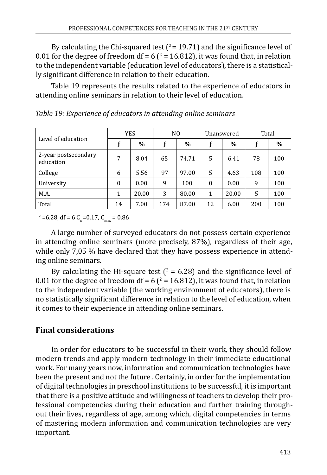By calculating the Chi-squared test  $(2 = 19.71)$  and the significance level of  $0.01$  for the degree of freedom df = 6 ( $\textdegree$  = 16.812), it was found that, in relation to the independent variable (education level of educators), there is a statistically significant difference in relation to their education.

Table 19 represents the results related to the experience of educators in attending online seminars in relation to their level of education.

|                                   | <b>YES</b> |       |     | N <sub>0</sub> |          | Unanswered | Total |      |
|-----------------------------------|------------|-------|-----|----------------|----------|------------|-------|------|
| Level of education                |            | $\%$  |     | $\frac{0}{0}$  |          | $\%$       |       | $\%$ |
| 2-year postsecondary<br>education | 7          | 8.04  | 65  | 74.71          | .5       | 6.41       | 78    | 100  |
| College                           | 6          | 5.56  | 97  | 97.00          | 5        | 4.63       | 108   | 100  |
| University                        | $\Omega$   | 0.00  | 9   | 100            | $\theta$ | 0.00       | 9     | 100  |
| M.A.                              | 1          | 20.00 | 3   | 80.00          | 1        | 20.00      | 5     | 100  |
| Total                             | 14         | 7.00  | 174 | 87.00          | 12       | 6.00       | 200   | 100  |

*Table 19: Experience of educators in attending online seminars*

 $\mu^2$  =6.28, df = 6 C<sub>k</sub> = 0.17, C<sub>max</sub> = 0.86

A large number of surveyed educators do not possess certain experience in attending online seminars (more precisely, 87%), regardless of their age, while only 7,05 % have declared that they have possess experience in attending online seminars.

By calculating the Hi-square test ( $\ell$  = 6.28) and the significance level of 0.01 for the degree of freedom  $df = 6(2 = 16.812)$ , it was found that, in relation to the independent variable (the working environment of educators), there is no statistically significant difference in relation to the level of education, when it comes to their experience in attending online seminars.

# **Final considerations**

In order for educators to be successful in their work, they should follow modern trends and apply modern technology in their immediate educational work. For many years now, information and communication technologies have been the present and not the future . Certainly, in order for the implementation of digital technologies in preschool institutions to be successful, it is important that there is a positive attitude and willingness of teachers to develop their professional competencies during their education and further training throughout their lives, regardless of age, among which, digital competencies in terms of mastering modern information and communication technologies are very important.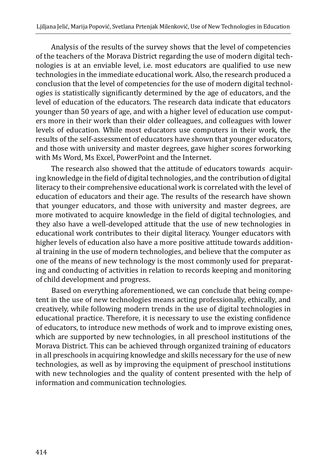Analysis of the results of the survey shows that the level of competencies of the teachers of the Morava District regarding the use of modern digital technologies is at an enviable level, i.e. most educators are qualified to use new technologies in the immediate educational work. Also, the research produced a conclusion that the level of competencies for the use of modern digital technologies is statistically significantly determined by the age of educators, and the level of education of the educators. The research data indicate that educators younger than 50 years of age, and with a higher level of education use computers more in their work than their older colleagues, and colleagues with lower levels of education. While most educators use computers in their work, the results of the self-assessment of educators have shown that younger educators, and those with university and master degrees, gave higher scores forworking with Ms Word, Ms Excel, PowerPoint and the Internet.

The research also showed that the attitude of educators towards acquiring knowledge in the field of digital technologies, and the contribution of digital literacy to their comprehensive educational work is correlated with the level of education of educators and their age. The results of the research have shown that younger educators, and those with university and master degrees, are more motivated to acquire knowledge in the field of digital technologies, and they also have a well-developed attitude that the use of new technologies in educational work contributes to their digital literacy. Younger educators with higher levels of education also have a more positive attitude towards additional training in the use of modern technologies, and believe that the computer as one of the means of new technology is the most commonly used for preparating and conducting of activities in relation to records keeping and monitoring of child development and progress.

Based on everything aforementioned, we can conclude that being competent in the use of new technologies means acting professionally, ethically, and creatively, while following modern trends in the use of digital technologies in educational practice. Therefore, it is necessary to use the existing confidence of educators, to introduce new methods of work and to improve existing ones, which are supported by new technologies, in all preschool institutions of the Morava District. This can be achieved through organized training of educators in all preschools in acquiring knowledge and skills necessary for the use of new technologies, as well as by improving the equipment of preschool institutions with new technologies and the quality of content presented with the help of information and communication technologies.